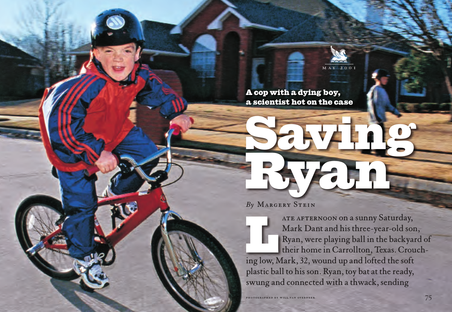

## **Saving A cop with a dying boy, a scientist hot on the case**

Ryan

**By MARGERY STEIN**<br> **ATE AFTEI**<br> **LATE AFTEI**<br> **LATE AFTEI**<br> **LATE AFTEI**<br> **LATE AFTEI**<br> **LATE AFTEI**<br> **LATE AFTEI**<br> **LATE AFTEI** ATE AFTERNOON ON a sunny Saturday, Mark Dant and his three-year-old son, Ryan, were playing ball in the backyard of their home in Carrollton, Texas. Crouching low, Mark, 32, wound up and lofted the soft plastic ball to his son. Ryan, toy bat at the ready, swung and connected with a thwack, sending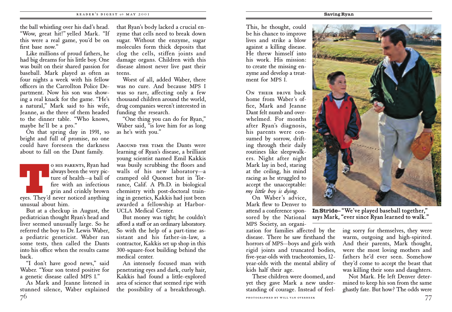the ball whistling over his dad's head. "Wow, great hit!" yelled Mark. "If this were a real game, you'd be on first base now."

Like millions of proud fathers, he had big dreams for his little boy. One was built on their shared passion for baseball. Mark played as often as four nights a week with his fellow officers in the Carrollton Police Department. Now his son was showing a real knack for the game. "He's a natural," Mark said to his wife, Jeanne, as the three of them headed to the dinner table. "Who knows, maybe he'll be a pro."

On that spring day in 1991, so bright and full of promise, no one could have foreseen the darkness about to fall on the Dant family.

**THE SALE NEWS ARENTS, Ryan had**<br>always been the very pic-<br>ture of health—a ball of<br>fire with an infectious<br>grin and crinkly brown o HIS PARENTS, Ryan had<br>always been the very picture of health—a ball of fire with an infectious grin and crinkly brown eyes. They'd never noticed anything unusual about him.

But at a checkup in August, the pediatrician thought Ryan's head and liver seemed unusually large. So he referred the boy to Dr. Lewis Waber, a pediatric geneticist. Waber ran some tests, then called the Dants into his office when the results came back.

"I don't have good news," said Waber. "Your son tested positive for a genetic disease called MPS I."

As Mark and Jeanne listened in stunned silence, Waber explained 76

that Ryan's body lacked a crucial enzyme that cells need to break down sugar. Without the enzyme, sugar molecules form thick deposits that clog the cells, stiffen joints and damage organs. Children with this disease almost never live past their teens.

Worst of all, added Waber, there was no cure. And because MPS I was so rare, affecting only a few thousand children around the world, drug companies weren't interested in funding the research.

"One thing you can do for Ryan," Waber said, "is love him for as long as he's with you."

AROUND THE TIME the Dants were learning of Ryan's disease, a brilliant young scientist named Emil Kakkis was busily scrubbing the floors and walls of his new laboratory—a cramped old Quonset hut in Torrance, Calif. A Ph.D. in biological chemistry with post-doctoral training in genetics, Kakkis had just been awarded a fellowship at Harbor-UCLA Medical Center.

But money was tight; he couldn't afford a staff or an ordinary laboratory. So with the help of a part-time assistant and his father-in-law, a contractor, Kakkis set up shop in this 300-square-foot building behind the medical center.

An intensely focused man with penetrating eyes and dark, curly hair, Kakkis had found a little-explored area of science that seemed ripe with the possibility of a breakthrough.

This, he thought, could be his chance to improve lives and strike a blow against a killing disease. He threw himself into his work. His mission: to create the missing enzyme and develop a treatment for MPS I

ON THEIR DRIVE back home from Waber's office, Mark and Jeanne Dant felt numb and overwhelmed. For months after Ryan's diagnosis, his parents were consumed by sorrow, drifting through their daily routines like sleepwalkers. Night after night Mark lay in bed, staring at the ceiling, his mind racing as he struggled to accept the unacceptable: *my little boy is dying.*

On Waber's advice, Mark flew to Denver to attend a conference sponsored by the National MPS Society, an organi-

zation for families affected by the disease. There he saw firsthand the horrors of MPS—boys and girls with rigid joints and truncated bodies, five-year-olds with tracheotomies, 12 year-olds with the mental ability of kids half their age.

These children were doomed, and yet they gave Mark a new understanding of courage. Instead of feel-



**In Stride– "We've played baseball together," says Mark, "ever since Ryan learned to walk."**

ing sorry for themselves, they were warm, outgoing and high-spirited. And their parents, Mark thought, were the most loving mothers and fathers he'd ever seen. Somehow they'd come to accept the beast that was killing their sons and daughters.

Not Mark. He left Denver determined to keep his son from the same ghastly fate. But how? The odds were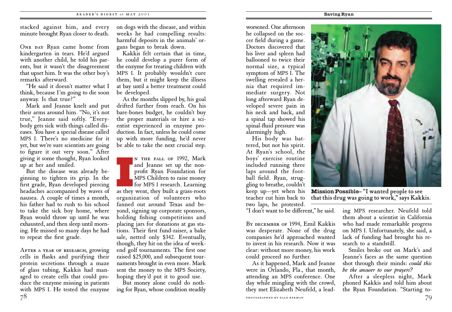stacked against him, and every minute brought Ryan closer to death.

ONE DAY Ryan came home from kindergarten in tears. He'd argued with another child, he told his parents, but it wasn't the disagreement that upset him. It was the other boy's remarks afterward.

"He said it doesn't matter what I think, because I'm going to die soon anyway. Is that true?"

Mark and Jeanne knelt and put their arms around him. "No, it's not true," Jeanne said softly. "Everybody gets sick with things called diseases. You have a special disease called MPS I. There's no medicine for it yet, but we're sure scientists are going to figure it out very soon." After giving it some thought, Ryan looked up at her and smiled.

But the disease was already beginning to tighten its grip. In the first grade, Ryan developed piercing headaches accompanied by waves of nausea. A couple of times a month, his father had to rush to his school to take the sick boy home, where Ryan would throw up until he was exhausted, and then sleep until morning. He missed so many days he had to repeat the first grade.

After a year of research, growing cells in flasks and purifying their protein secretions through a maze of glass tubing, Kakkis had managed to create cells that could produce the enzyme missing in patients with MPS I. He tested the enzyme 78

on dogs with the disease, and within weeks he had compelling results: harmful deposits in the animals' organs began to break down.

Kakkis felt certain that in time, he could develop a purer form of the enzyme for treating children with MPS I. It probably wouldn't cure them, but it might keep the illness at bay until a better treatment could be developed.

As the months slipped by, his goal drifted further from reach. On his bare-bones budget, he couldn't buy the proper materials or hire a scientist experienced in enzyme production. In fact, unless he could come up with more funding, he'd never be able to take the next crucial step.

**I** n the fall of 1992, Mark and Jeanne set up the nonprofit Ryan Foundation for **MPS** Children to raise money for MPS I research. Learning as they went, they built a grass-roots organization of volunteers who fanned out around Texas and beyond, signing up corporate sponsors, holding fishing competitions and placing jars for donations at gas stations. Their first fund-raiser, a bake sale, netted only \$342. Eventually, though, they hit on the idea of weekend golf tournaments. The first one raised \$25,000, and subsequent tournaments brought in even more. Mark sent the money to the MPS Society, hoping they'd put it to good use.

But money alone could do nothing for Ryan, whose condition steadily

worsened. One afternoon he collapsed on the soccer field during a game. Doctors discovered that his liver and spleen had ballooned to twice their normal size, a typical symptom of MPS I. The swelling revealed a hernia that required im mediate surgery. Not long afterward Ryan developed severe pain in his neck and back, and a spinal tap showed his spinal-fluid pressure was alarmingly high.

His body was battered, but not his spirit. At Ryan's school, the boys' exercise routine included running three laps around the foot ball field. Ryan, struggling to breathe, couldn't teacher cut him back to

two laps, he protested.

keep up—yet when his **Mission Possible– "I wanted people to see that this drug was going to work," says Kakkis.**

"I don't want to be different," he said.

BY DECEMBER OF 1994, Emil Kakkis was desperate. None of the drug companies he'd approached wanted to invest in his research. Now it was clear: without more money, his work could proceed no further.

As it happened, Mark and Jeanne were in Orlando, Fla., that month, attending an MPS conference. One day while mingling with the crowd, they met Elizabeth Neufeld, a leading MPS researcher. Neufeld told them about a scientist in California who had made remarkable progress on MPS I. Unfortunately, she said, a lack of funding had brought his research to a standstill.

Smiles broke out on Mark's and Jeanne's faces as the same question shot through their minds: *could this be the answer to our prayers?*

After a sleepless night, Mark phoned Kakkis and told him about the Ryan Foundation. "Starting to